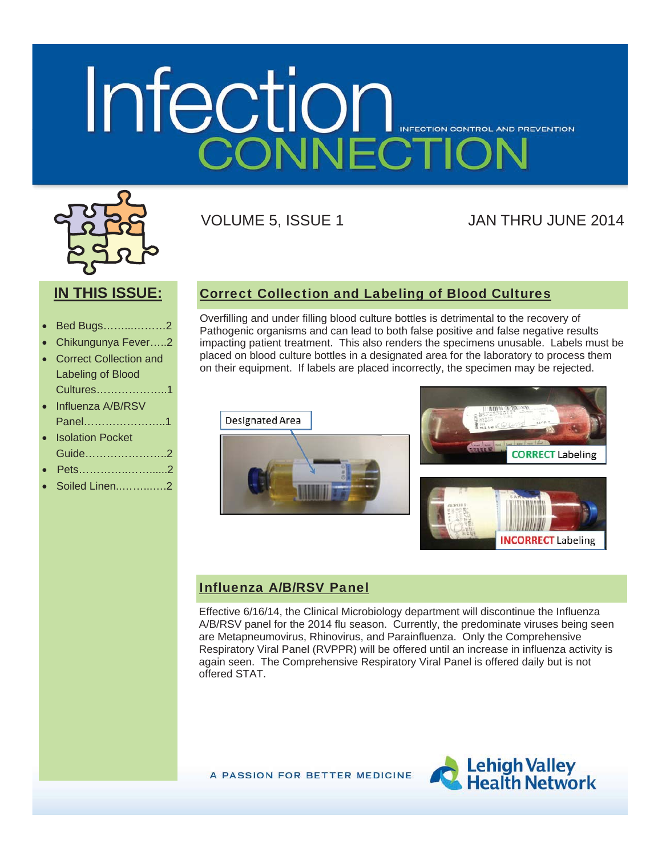# Infection INFECTION CONTROL AND PREVENTION



VOLUME 5, ISSUE 1 JAN THRU JUNE 2014

## **IN THIS ISSUE:**

- x Bed Bugs……...………2
- x Chikungunya Fever…..2
- **Correct Collection and** Labeling of Blood Cultures………………..1

| • Influenza A/B/RSV |
|---------------------|
| Panel1              |

| • Isolation Pocket |
|--------------------|
| Guide2             |
|                    |

- Pets……………………2
- x Soiled Linen..……...….2

Correct Collection and Labeling of Blood Cultures

Overfilling and under filling blood culture bottles is detrimental to the recovery of Pathogenic organisms and can lead to both false positive and false negative results impacting patient treatment. This also renders the specimens unusable. Labels must be placed on blood culture bottles in a designated area for the laboratory to process them on their equipment. If labels are placed incorrectly, the specimen may be rejected.





#### Influenza A/B/RSV Panel

Effective 6/16/14, the Clinical Microbiology department will discontinue the Influenza A/B/RSV panel for the 2014 flu season. Currently, the predominate viruses being seen are Metapneumovirus, Rhinovirus, and Parainfluenza. Only the Comprehensive Respiratory Viral Panel (RVPPR) will be offered until an increase in influenza activity is again seen. The Comprehensive Respiratory Viral Panel is offered daily but is not offered STAT.

A PASSION FOR BETTER MEDICINE